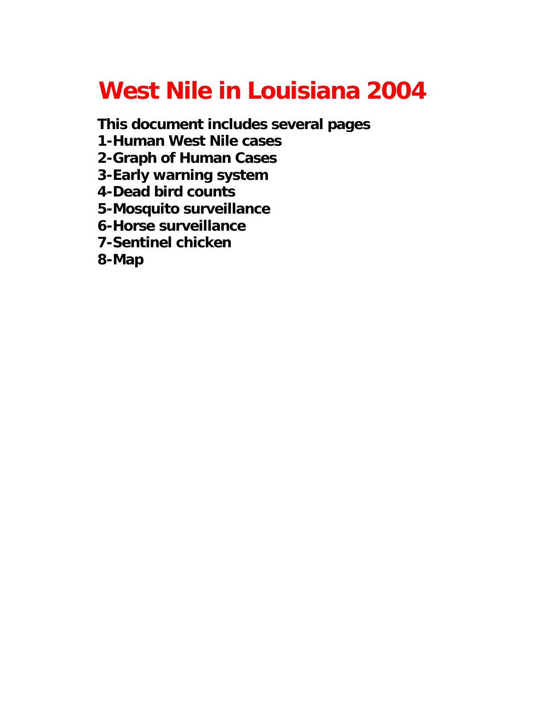# **West Nile in Louisiana 2004**

**This document includes several pages**

- **1-Human West Nile cases**
- **2-Graph of Human Cases**
- **3-Early warning system**
- **4-Dead bird counts**
- **5-Mosquito surveillance**
- **6-Horse surveillance**
- **7-Sentinel chicken**
- **8-Map**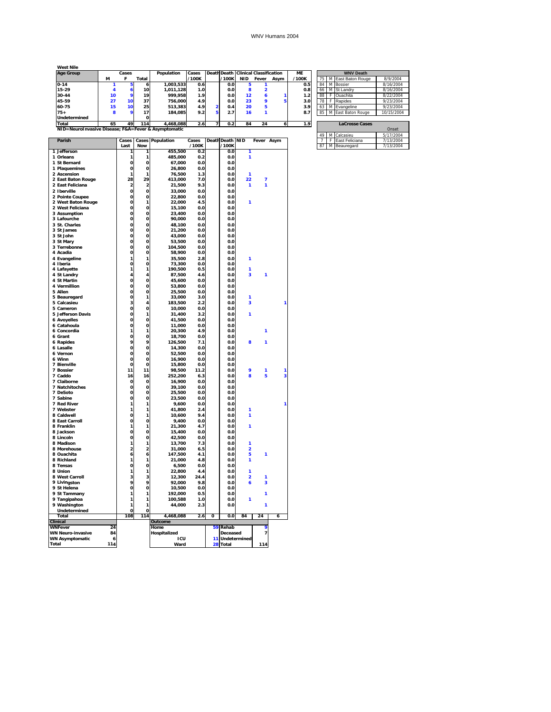| West Nile                                           |          |          |          |                    |              |                         |                 |                                |                         |        |            |                     |                       |                        |
|-----------------------------------------------------|----------|----------|----------|--------------------|--------------|-------------------------|-----------------|--------------------------------|-------------------------|--------|------------|---------------------|-----------------------|------------------------|
| <b>Age Group</b>                                    |          | Cases    |          | Population         | Cases        |                         | Death Death     | <b>Clinical Classification</b> |                         |        | ME         |                     | <b>WNV Death</b>      |                        |
|                                                     | M        | F        | Total    |                    | /100K        |                         | /100K           | NID                            | Fever                   | Asym   | /100K      | 75                  | M East Baton Rouge    | 8/9/2004               |
| $0 - 14$                                            | 1        | 5        | 6        | 1,003,533          | 0.6          |                         | 0.0             | 5                              | 1                       |        | 0.5        | M<br>84             | <b>Bossier</b>        | 8/16/2004              |
| 15-29                                               | 4        | 6        | 10       | 1,011,128          | 1.0          |                         | 0.0             | 8                              | $\overline{\mathbf{2}}$ |        | 0.8        | 66<br>Μ             | St Landry             | 8/16/2004              |
| 30-44                                               | 10       | 9        | 19       | 999,958            | 1.9          |                         | 0.0             | 12                             | 6                       | 1      | 1.2        | 88<br>F.            | Ouachita              | 8/22/2004              |
| 45-59<br>60-75                                      | 27<br>15 | 10<br>10 | 37<br>25 | 756,000<br>513,383 | 4.9<br>4.9   | $\overline{\mathbf{2}}$ | 0.0<br>0.4      | 23<br>20                       | 9<br>5                  | 5      | 3.0<br>3.9 | 78<br>F.<br>63<br>M | Rapides<br>Evangeline | 9/23/2004<br>9/23/2004 |
| $75+$                                               | 8        | 9        | 17       | 184,085            | 9.2          | 5                       | 2.7             | 16                             | 1                       |        | 8.7        | 85<br>M             | East Baton Rouge      | 10/15/2004             |
| Undetermined                                        |          |          | 0        |                    |              |                         |                 |                                |                         |        |            |                     |                       |                        |
| <b>Total</b>                                        | 65       | 49       | 114      | 4,468,088          | 2.6          | 7                       | 0.2             | 84                             | 24                      | 6      | 1.9        |                     | <b>LaCrosse Cases</b> |                        |
| NID=NeuroInvasive Disease; F&A=Fever & Asymptomatic |          |          |          |                    |              |                         |                 |                                |                         |        |            |                     |                       | Onset                  |
|                                                     |          |          |          |                    |              |                         |                 |                                |                         |        |            | 49                  | M Calcasieu           | 5/17/2004              |
| Parish                                              |          | Cases    | Cases    | Population         | Cases        |                         | Death Death NID |                                | Fever Asym              |        |            | 7<br>F.             | East Feliciana        | 7/13/2004              |
| 1 Jefferson                                         |          | Last     | Now<br>1 | 455,500            | /100K<br>0.2 |                         | /100K<br>0.0    | 1                              |                         |        |            | 87                  | M Beauregard          | 7/13/2004              |
| 1 Orleans                                           |          | 1        | 1        | 485,000            | 0.2          |                         | 0.0             | 1                              |                         |        |            |                     |                       |                        |
| 1 St Bernard                                        |          | 0        | 0        | 67,000             | 0.0          |                         | 0.0             |                                |                         |        |            |                     |                       |                        |
| 1 Plaquemines                                       |          | 0        | 0        | 26,800             | 0.0          |                         | 0.0             |                                |                         |        |            |                     |                       |                        |
| 2 Ascension                                         |          | 1        | 1        | 76,500             | 1.3          |                         | 0.0             | 1                              |                         |        |            |                     |                       |                        |
| 2 East Baton Rouge                                  |          | 28       | 29       | 413,000            | 7.0          |                         | 0.0             | 22                             | 7                       |        |            |                     |                       |                        |
| 2 East Feliciana                                    |          | 2<br>O   | 2<br>0   | 21,500             | 9.3          |                         | 0.0             | 1                              | 1                       |        |            |                     |                       |                        |
| 2 Iberville<br>2 Pointe Coupee                      |          | 0        | 0        | 33,000<br>22,800   | 0.0<br>0.0   |                         | 0.0<br>0.0      |                                |                         |        |            |                     |                       |                        |
| 2 West Baton Rouge                                  |          | 0        | 1        | 22,000             | 4.5          |                         | 0.0             | 1                              |                         |        |            |                     |                       |                        |
| 2 West Feliciana                                    |          | 0        | 0        | 15,100             | 0.0          |                         | 0.0             |                                |                         |        |            |                     |                       |                        |
| 3 Assumption                                        |          | 0        | 0        | 23,400             | 0.0          |                         | 0.0             |                                |                         |        |            |                     |                       |                        |
| 3 Lafourche                                         |          | 0        | 0        | 90,000             | 0.0          |                         | 0.0             |                                |                         |        |            |                     |                       |                        |
| 3 St. Charles                                       |          | 0        | 0        | 48,100             | 0.0          |                         | 0.0             |                                |                         |        |            |                     |                       |                        |
| 3 St James                                          |          | 0        | 0        | 21,200             | 0.0          |                         | 0.0             |                                |                         |        |            |                     |                       |                        |
| 3 St John                                           |          | 0        | 0        | 43,000             | 0.0          |                         | 0.0             |                                |                         |        |            |                     |                       |                        |
| 3 St Mary<br>3 Terrebonne                           |          | 0<br>O   | 0<br>0   | 53,500<br>104,500  | 0.0<br>0.0   |                         | 0.0<br>0.0      |                                |                         |        |            |                     |                       |                        |
| 4 Acadia                                            |          | 0        | 0        | 58,900             | 0.0          |                         | 0.0             |                                |                         |        |            |                     |                       |                        |
| 4 Evangeline                                        |          | 1        | 1        | 35,500             | 2.8          |                         | 0.0             | 1                              |                         |        |            |                     |                       |                        |
| 4 Iberia                                            |          | O        | 0        | 73,300             | 0.0          |                         | 0.0             |                                |                         |        |            |                     |                       |                        |
| 4 Lafayette                                         |          | 1        | 1        | 190,500            | 0.5          |                         | 0.0             | 1                              |                         |        |            |                     |                       |                        |
| 4 St Landry                                         |          | 4        | 4        | 87,500             | 4.6          |                         | 0.0             | 3                              | 1                       |        |            |                     |                       |                        |
| 4 St Martin                                         |          | 0        | 0        | 45,600             | 0.0          |                         | 0.0             |                                |                         |        |            |                     |                       |                        |
| 4 Vermillion<br>5 Allen                             |          | 0<br>0   | 0<br>0   | 53,800<br>25,500   | 0.0<br>0.0   |                         | 0.0<br>0.0      |                                |                         |        |            |                     |                       |                        |
| 5 Beauregard                                        |          | 0        | 1        | 33,000             | 3.0          |                         | 0.0             | 1                              |                         |        |            |                     |                       |                        |
| 5 Calcasieu                                         |          | 3        | 4        | 183,500            | 2.2          |                         | 0.0             | 3                              |                         | 1      |            |                     |                       |                        |
| 5 Cameron                                           |          | 0        | 0        | 10,000             | 0.0          |                         | 0.0             |                                |                         |        |            |                     |                       |                        |
| 5 Jefferson Davis                                   |          | 0        | 1        | 31,400             | 3.2          |                         | 0.0             | 1                              |                         |        |            |                     |                       |                        |
| <b>6 Avoyelles</b>                                  |          | 0        | 0        | 41,500             | 0.0          |                         | 0.0             |                                |                         |        |            |                     |                       |                        |
| 6 Catahoula                                         |          | 0        | 0        | 11,000             | 0.0          |                         | 0.0             |                                |                         |        |            |                     |                       |                        |
| 6 Concordia<br>6 Grant                              |          | 1<br>0   | 1<br>0   | 20,300<br>18,700   | 4.9<br>0.0   |                         | 0.0<br>0.0      |                                | 1                       |        |            |                     |                       |                        |
| <b>6 Rapides</b>                                    |          | 9        | 9        | 126,500            | 7.1          |                         | 0.0             | 8                              | 1                       |        |            |                     |                       |                        |
| 6 Lasalle                                           |          | 0        | 0        | 14,300             | 0.0          |                         | 0.0             |                                |                         |        |            |                     |                       |                        |
| 6 Vernon                                            |          | 0        | 0        | 52,500             | 0.0          |                         | 0.0             |                                |                         |        |            |                     |                       |                        |
| 6 Winn                                              |          | 0        | 0        | 16,900             | 0.0          |                         | 0.0             |                                |                         |        |            |                     |                       |                        |
| 7 Bienville                                         |          | 0        | 0        | 15,800             | 0.0          |                         | 0.0             |                                |                         |        |            |                     |                       |                        |
| 7 Bossier<br>7 Caddo                                |          | 11       | 11<br>16 | 98,500             | 11.2         |                         | 0.0             | 9<br>8                         | 1<br>5                  | 1<br>3 |            |                     |                       |                        |
| 7 Claiborne                                         |          | 16<br>0  | 0        | 252,200<br>16,900  | 6.3<br>0.0   |                         | 0.0<br>0.0      |                                |                         |        |            |                     |                       |                        |
| 7 Natchitoches                                      |          | 0        | 0        | 39,100             | 0.0          |                         | 0.0             |                                |                         |        |            |                     |                       |                        |
| 7 DeSoto                                            |          | 0        | 0        | 25,500             | 0.0          |                         | 0.0             |                                |                         |        |            |                     |                       |                        |
| 7 Sabine                                            |          | O        | 0        | 23,500             | 0.0          |                         | 0.0             |                                |                         |        |            |                     |                       |                        |
| 7 Red River                                         |          | 1        | 1        | 9,600              | 0.0          |                         | 0.0             |                                |                         | 1      |            |                     |                       |                        |
| 7 Webster                                           |          | 1<br>0   | 1<br>1   | 41,800             | 2.4          |                         | 0.0             | 1                              |                         |        |            |                     |                       |                        |
| 8 Caldwell                                          |          | 0        | 0        | 10,600             | 9.4<br>0.0   |                         | 0.0             | 1                              |                         |        |            |                     |                       |                        |
| 8 East Carroll<br>8 Franklin                        |          | 1        | 1        | 9,400<br>21,300    | 4.7          |                         | 0.0<br>0.0      | 1                              |                         |        |            |                     |                       |                        |
| 8 Jackson                                           |          | 0        | 0        | 15,400             | 0.0          |                         | 0.0             |                                |                         |        |            |                     |                       |                        |
| 8 Lincoln                                           |          | 0        | 0        | 42,500             | 0.0          |                         | 0.0             |                                |                         |        |            |                     |                       |                        |
| 8 Madison                                           |          | 1        | 1        | 13,700             | 7.3          |                         | 0.0             | 1                              |                         |        |            |                     |                       |                        |
| 8 Morehouse                                         |          | 2        | 2        | 31,000             | 6.5          |                         | 0.0             | $\overline{\mathbf{2}}$        |                         |        |            |                     |                       |                        |
| 8 Ouachita                                          |          | 6        | 6        | 147,500            | 4.1          |                         | 0.0             | 5                              | 1                       |        |            |                     |                       |                        |
| 8 Richland                                          |          | 1        | 1        | 21,000             | 4.8          |                         | 0.0             | 1                              |                         |        |            |                     |                       |                        |
| 8 Tensas<br>8 Union                                 |          | 1        | 1        | 6,500<br>22,800    | O.C<br>4.4   |                         | 0.0<br>0.0      | 1                              |                         |        |            |                     |                       |                        |
| 8 West Carroll                                      |          | 3        | 3        | 12,300             | 24.4         |                         | 0.0             | 2                              | 1                       |        |            |                     |                       |                        |
| 9 Livingston                                        |          | 9        | 9        | 92,000             | 9.8          |                         | 0.0             | 6                              | 3                       |        |            |                     |                       |                        |
| 9 St Helena                                         |          | 0        | 0        | 10,500             | 0.0          |                         | 0.0             |                                |                         |        |            |                     |                       |                        |
| 9 St Tammany                                        |          | 1        | 1        | 192,000            | 0.5          |                         | 0.0             |                                | 1                       |        |            |                     |                       |                        |
| 9 Tangipahoa                                        |          | 1        | 1        | 100,588            | 1.0          |                         | 0.0             | 1                              |                         |        |            |                     |                       |                        |
| 9 Washington<br>Undetermined                        |          | 1<br>0   | 1<br>0   | 44,000             | 2.3          |                         | 0.0             |                                | 1                       |        |            |                     |                       |                        |
| Total                                               |          | 108      | 114      | 4,468,088          | 2.6          | 0                       | 0.0             | 84                             | 24                      | 6      |            |                     |                       |                        |
| Clinical                                            |          |          |          | Outcome            |              |                         |                 |                                |                         |        |            |                     |                       |                        |
| WNFever                                             | 24       |          |          | Home               |              |                         | 59 Rehab        |                                | 9                       |        |            |                     |                       |                        |
| <b>WN Neuro-invasive</b>                            | 84       |          |          | Hospitalized       |              |                         | Deceased        |                                | 7                       |        |            |                     |                       |                        |
| <b>WN Asymptomatic</b>                              | 6        |          |          | ICU                |              | 11                      |                 | Undetermined                   |                         |        |            |                     |                       |                        |
| Total                                               | 114      |          |          | Ward               |              | 28                      | Total           |                                | 114                     |        |            |                     |                       |                        |

Γ

|                |    | <b>WNV Death</b>   |            |
|----------------|----|--------------------|------------|
|                | 75 | M East Baton Rouge | 8/9/2004   |
| $\overline{5}$ | 84 | <b>Bossier</b>     | 8/16/2004  |
| B              | 66 | M St Landry        | 8/16/2004  |
| 2              | 88 | Ouachita           | 8/22/2004  |
| D              | 78 | Rapides            | 9/23/2004  |
| 9              | 63 | Evangeline         | 9/23/2004  |
| 7              | 85 | M East Baton Rouge | 10/15/2004 |

|  |                  | unser     |
|--|------------------|-----------|
|  | 49 M Calcasieu   | 5/17/2004 |
|  | F East Feliciana | 7/13/2004 |
|  | 87 M Beauregard  | 7/13/2004 |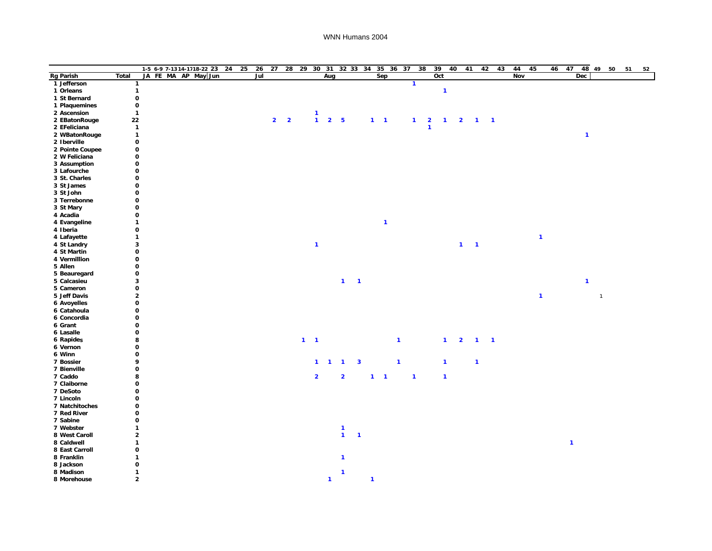|                              |                                |  |  | 1-5 6-9 7-13 14-1718-22 23 | 24 | 25 | 26  | 27             | 28             |                |                |                         |                         |              | 29 30 31 32 33 34 35 36 37 |              | 38           |                         | 39                      | 40             | 41                      | 43<br>42       | 44         | 45           | 46 | 47           | 48 49          | 50 | 51 | 52 |
|------------------------------|--------------------------------|--|--|----------------------------|----|----|-----|----------------|----------------|----------------|----------------|-------------------------|-------------------------|--------------|----------------------------|--------------|--------------|-------------------------|-------------------------|----------------|-------------------------|----------------|------------|--------------|----|--------------|----------------|----|----|----|
| <b>Rg Parish</b>             | <b>Total</b>                   |  |  | JA FE MA AP May Jun        |    |    | Jul |                |                |                | Aug            |                         |                         |              | Sep                        |              |              |                         | Oct                     |                |                         |                | <b>Nov</b> |              |    |              | <b>Dec</b>     |    |    |    |
| 1 Jefferson                  | $\mathbf{1}$                   |  |  |                            |    |    |     |                |                |                |                |                         |                         |              |                            |              | $\mathbf{1}$ |                         |                         |                |                         |                |            |              |    |              |                |    |    |    |
| 1 Orleans                    | $\mathbf{1}$                   |  |  |                            |    |    |     |                |                |                |                |                         |                         |              |                            |              |              |                         | $\overline{\mathbf{1}}$ |                |                         |                |            |              |    |              |                |    |    |    |
| 1 St Bernard                 | $\mathbf 0$                    |  |  |                            |    |    |     |                |                |                |                |                         |                         |              |                            |              |              |                         |                         |                |                         |                |            |              |    |              |                |    |    |    |
| 1 Plaquemines                | $\mathbf 0$                    |  |  |                            |    |    |     |                |                |                |                |                         |                         |              |                            |              |              |                         |                         |                |                         |                |            |              |    |              |                |    |    |    |
| 2 Ascension                  | $\mathbf{1}$                   |  |  |                            |    |    |     |                |                | $\mathbf{1}$   |                |                         |                         |              |                            |              |              |                         |                         |                |                         |                |            |              |    |              |                |    |    |    |
| 2 EBatonRouge                | 22                             |  |  |                            |    |    |     | $\overline{2}$ | $\overline{2}$ | $\mathbf{1}$   | 2 <sub>5</sub> |                         |                         | $1 \quad 1$  |                            |              | $\mathbf{1}$ | $\overline{\mathbf{2}}$ | $\mathbf{1}$            | $\overline{2}$ | $\mathbf{1}$            | $\blacksquare$ |            |              |    |              |                |    |    |    |
| 2 EFeliciana                 | $\mathbf{1}$                   |  |  |                            |    |    |     |                |                |                |                |                         |                         |              |                            |              |              | $\mathbf{1}$            |                         |                |                         |                |            |              |    |              |                |    |    |    |
| 2 WBatonRouge                | $\mathbf{1}$                   |  |  |                            |    |    |     |                |                |                |                |                         |                         |              |                            |              |              |                         |                         |                |                         |                |            |              |    |              | 1              |    |    |    |
| 2 Iberville                  | $\mathbf 0$                    |  |  |                            |    |    |     |                |                |                |                |                         |                         |              |                            |              |              |                         |                         |                |                         |                |            |              |    |              |                |    |    |    |
| 2 Pointe Coupee              | $\mathbf 0$                    |  |  |                            |    |    |     |                |                |                |                |                         |                         |              |                            |              |              |                         |                         |                |                         |                |            |              |    |              |                |    |    |    |
| 2 W Feliciana                | $\mathbf 0$                    |  |  |                            |    |    |     |                |                |                |                |                         |                         |              |                            |              |              |                         |                         |                |                         |                |            |              |    |              |                |    |    |    |
| 3 Assumption                 | $\mathbf 0$                    |  |  |                            |    |    |     |                |                |                |                |                         |                         |              |                            |              |              |                         |                         |                |                         |                |            |              |    |              |                |    |    |    |
| 3 Lafourche                  | 0                              |  |  |                            |    |    |     |                |                |                |                |                         |                         |              |                            |              |              |                         |                         |                |                         |                |            |              |    |              |                |    |    |    |
| 3 St. Charles                | 0                              |  |  |                            |    |    |     |                |                |                |                |                         |                         |              |                            |              |              |                         |                         |                |                         |                |            |              |    |              |                |    |    |    |
| 3 St James                   | $\mathbf 0$                    |  |  |                            |    |    |     |                |                |                |                |                         |                         |              |                            |              |              |                         |                         |                |                         |                |            |              |    |              |                |    |    |    |
| 3 St John                    | $\mathbf{o}$                   |  |  |                            |    |    |     |                |                |                |                |                         |                         |              |                            |              |              |                         |                         |                |                         |                |            |              |    |              |                |    |    |    |
| 3 Terrebonne                 | O                              |  |  |                            |    |    |     |                |                |                |                |                         |                         |              |                            |              |              |                         |                         |                |                         |                |            |              |    |              |                |    |    |    |
| 3 St Mary                    | 0                              |  |  |                            |    |    |     |                |                |                |                |                         |                         |              |                            |              |              |                         |                         |                |                         |                |            |              |    |              |                |    |    |    |
| 4 Acadia                     | $\mathbf{o}$                   |  |  |                            |    |    |     |                |                |                |                |                         |                         |              |                            |              |              |                         |                         |                |                         |                |            |              |    |              |                |    |    |    |
| 4 Evangeline                 | $\mathbf{1}$                   |  |  |                            |    |    |     |                |                |                |                |                         |                         |              | $\mathbf{1}$               |              |              |                         |                         |                |                         |                |            |              |    |              |                |    |    |    |
| 4 Iberia                     | 0                              |  |  |                            |    |    |     |                |                |                |                |                         |                         |              |                            |              |              |                         |                         |                |                         |                |            |              |    |              |                |    |    |    |
| 4 Lafayette                  | $\mathbf{1}$                   |  |  |                            |    |    |     |                |                |                |                |                         |                         |              |                            |              |              |                         |                         |                |                         |                |            | $\mathbf{1}$ |    |              |                |    |    |    |
| 4 St Landry                  | $\overline{\mathbf{3}}$        |  |  |                            |    |    |     |                |                | $\mathbf{1}$   |                |                         |                         |              |                            |              |              |                         |                         | $\mathbf{1}$   | $\overline{\mathbf{1}}$ |                |            |              |    |              |                |    |    |    |
| 4 St Martin                  | $\mathbf 0$                    |  |  |                            |    |    |     |                |                |                |                |                         |                         |              |                            |              |              |                         |                         |                |                         |                |            |              |    |              |                |    |    |    |
| 4 Vermillion                 | $\mathbf 0$                    |  |  |                            |    |    |     |                |                |                |                |                         |                         |              |                            |              |              |                         |                         |                |                         |                |            |              |    |              |                |    |    |    |
| 5 Allen                      | $\mathbf 0$                    |  |  |                            |    |    |     |                |                |                |                |                         |                         |              |                            |              |              |                         |                         |                |                         |                |            |              |    |              |                |    |    |    |
| 5 Beauregard                 | $\mathbf 0$                    |  |  |                            |    |    |     |                |                |                |                |                         |                         |              |                            |              |              |                         |                         |                |                         |                |            |              |    |              |                |    |    |    |
| 5 Calcasieu                  | 3                              |  |  |                            |    |    |     |                |                |                |                | $\mathbf{1}$            | $\blacksquare$          |              |                            |              |              |                         |                         |                |                         |                |            |              |    |              | $\mathbf{1}$   |    |    |    |
| 5 Cameron                    | $\mathbf 0$                    |  |  |                            |    |    |     |                |                |                |                |                         |                         |              |                            |              |              |                         |                         |                |                         |                |            |              |    |              |                |    |    |    |
| 5 Jeff Davis                 | $\overline{\mathbf{2}}$        |  |  |                            |    |    |     |                |                |                |                |                         |                         |              |                            |              |              |                         |                         |                |                         |                |            | $\mathbf{1}$ |    |              | $\overline{1}$ |    |    |    |
| <b>6 Avoyelles</b>           | $\mathbf 0$                    |  |  |                            |    |    |     |                |                |                |                |                         |                         |              |                            |              |              |                         |                         |                |                         |                |            |              |    |              |                |    |    |    |
| 6 Catahoula                  | $\mathbf 0$                    |  |  |                            |    |    |     |                |                |                |                |                         |                         |              |                            |              |              |                         |                         |                |                         |                |            |              |    |              |                |    |    |    |
| 6 Concordia                  | 0                              |  |  |                            |    |    |     |                |                |                |                |                         |                         |              |                            |              |              |                         |                         |                |                         |                |            |              |    |              |                |    |    |    |
| 6 Grant                      | $\mathbf 0$                    |  |  |                            |    |    |     |                |                |                |                |                         |                         |              |                            |              |              |                         |                         |                |                         |                |            |              |    |              |                |    |    |    |
| 6 Lasalle                    | $\mathbf 0$                    |  |  |                            |    |    |     |                |                |                |                |                         |                         |              |                            |              |              |                         |                         |                |                         |                |            |              |    |              |                |    |    |    |
| 6 Rapides                    | 8                              |  |  |                            |    |    |     |                |                | $1 - 1$        |                |                         |                         |              |                            | $\mathbf{1}$ |              |                         | $\mathbf{1}$            | $\overline{2}$ | $\mathbf{1}$            | $\blacksquare$ |            |              |    |              |                |    |    |    |
| 6 Vernon                     | 0                              |  |  |                            |    |    |     |                |                |                |                |                         |                         |              |                            |              |              |                         |                         |                |                         |                |            |              |    |              |                |    |    |    |
| 6 Winn                       | $\mathbf 0$                    |  |  |                            |    |    |     |                |                |                |                |                         |                         |              |                            |              |              |                         |                         |                |                         |                |            |              |    |              |                |    |    |    |
| 7 Bossier                    | 9                              |  |  |                            |    |    |     |                |                | $\mathbf{1}$   | $\mathbf{1}$   | $\mathbf{1}$            | $\overline{\mathbf{3}}$ |              |                            | $\mathbf{1}$ |              |                         | $\overline{\mathbf{1}}$ |                | $\mathbf{1}$            |                |            |              |    |              |                |    |    |    |
| 7 Bienville                  | $\mathbf 0$                    |  |  |                            |    |    |     |                |                |                |                |                         |                         |              |                            |              |              |                         |                         |                |                         |                |            |              |    |              |                |    |    |    |
| 7 Caddo                      | 8                              |  |  |                            |    |    |     |                |                | $\overline{2}$ |                | $\overline{\mathbf{2}}$ |                         | $1 \quad 1$  |                            |              | $\mathbf{1}$ |                         | $\overline{1}$          |                |                         |                |            |              |    |              |                |    |    |    |
| 7 Claiborne                  | $\mathbf 0$                    |  |  |                            |    |    |     |                |                |                |                |                         |                         |              |                            |              |              |                         |                         |                |                         |                |            |              |    |              |                |    |    |    |
| 7 DeSoto                     | $\mathbf 0$                    |  |  |                            |    |    |     |                |                |                |                |                         |                         |              |                            |              |              |                         |                         |                |                         |                |            |              |    |              |                |    |    |    |
| 7 Lincoln                    | $\mathbf{o}$                   |  |  |                            |    |    |     |                |                |                |                |                         |                         |              |                            |              |              |                         |                         |                |                         |                |            |              |    |              |                |    |    |    |
| 7 Natchitoches               | $\mathbf 0$                    |  |  |                            |    |    |     |                |                |                |                |                         |                         |              |                            |              |              |                         |                         |                |                         |                |            |              |    |              |                |    |    |    |
| 7 Red River                  | $\mathbf 0$                    |  |  |                            |    |    |     |                |                |                |                |                         |                         |              |                            |              |              |                         |                         |                |                         |                |            |              |    |              |                |    |    |    |
| 7 Sabine                     | $\mathbf 0$                    |  |  |                            |    |    |     |                |                |                |                |                         |                         |              |                            |              |              |                         |                         |                |                         |                |            |              |    |              |                |    |    |    |
| 7 Webster                    | $\mathbf{1}$                   |  |  |                            |    |    |     |                |                |                |                | $\mathbf{1}$            |                         |              |                            |              |              |                         |                         |                |                         |                |            |              |    |              |                |    |    |    |
| 8 West Caroll                | $\overline{\mathbf{2}}$        |  |  |                            |    |    |     |                |                |                |                | $\mathbf{1}$            | $\mathbf{1}$            |              |                            |              |              |                         |                         |                |                         |                |            |              |    |              |                |    |    |    |
| 8 Caldwell<br>8 East Carroll | $\mathbf{1}$<br>$\mathbf 0$    |  |  |                            |    |    |     |                |                |                |                |                         |                         |              |                            |              |              |                         |                         |                |                         |                |            |              |    | $\mathbf{1}$ |                |    |    |    |
|                              |                                |  |  |                            |    |    |     |                |                |                |                |                         |                         |              |                            |              |              |                         |                         |                |                         |                |            |              |    |              |                |    |    |    |
| 8 Franklin                   | $\mathbf{1}$                   |  |  |                            |    |    |     |                |                |                |                | $\mathbf{1}$            |                         |              |                            |              |              |                         |                         |                |                         |                |            |              |    |              |                |    |    |    |
| 8 Jackson                    | $\mathbf 0$                    |  |  |                            |    |    |     |                |                |                |                |                         |                         |              |                            |              |              |                         |                         |                |                         |                |            |              |    |              |                |    |    |    |
| 8 Madison                    | $\mathbf{1}$<br>$\overline{2}$ |  |  |                            |    |    |     |                |                |                | $\mathbf{1}$   | $\mathbf{1}$            |                         |              |                            |              |              |                         |                         |                |                         |                |            |              |    |              |                |    |    |    |
| 8 Morehouse                  |                                |  |  |                            |    |    |     |                |                |                |                |                         |                         | $\mathbf{1}$ |                            |              |              |                         |                         |                |                         |                |            |              |    |              |                |    |    |    |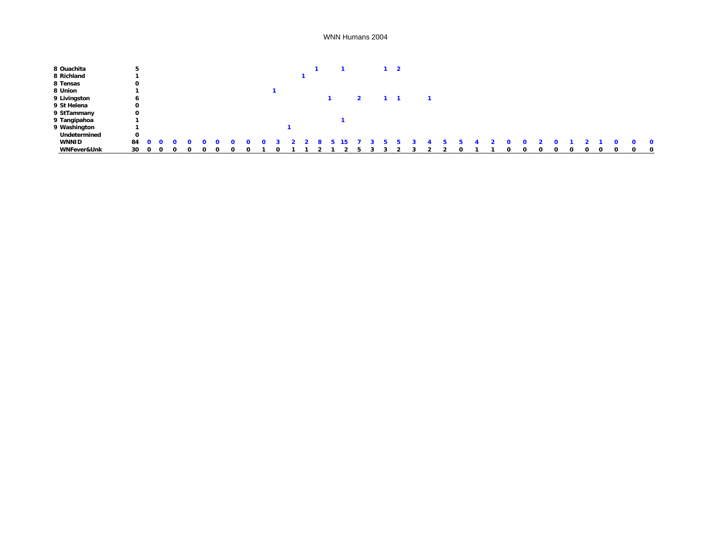| 8 Ouachita             |              |              |          |   |   |   |   |              |   |  |  |  |  |  | $\overline{\mathbf{2}}$ |  |   |  |   |   |   |   |   |   |          |              |              |
|------------------------|--------------|--------------|----------|---|---|---|---|--------------|---|--|--|--|--|--|-------------------------|--|---|--|---|---|---|---|---|---|----------|--------------|--------------|
|                        |              |              |          |   |   |   |   |              |   |  |  |  |  |  |                         |  |   |  |   |   |   |   |   |   |          |              |              |
| 8 Richland             |              |              |          |   |   |   |   |              |   |  |  |  |  |  |                         |  |   |  |   |   |   |   |   |   |          |              |              |
| 8 Tensas               | O            |              |          |   |   |   |   |              |   |  |  |  |  |  |                         |  |   |  |   |   |   |   |   |   |          |              |              |
| 8 Union                |              |              |          |   |   |   |   |              |   |  |  |  |  |  |                         |  |   |  |   |   |   |   |   |   |          |              |              |
| 9 Livingston           | O            |              |          |   |   |   |   |              |   |  |  |  |  |  |                         |  |   |  |   |   |   |   |   |   |          |              |              |
| 9 St Helena            | 0            |              |          |   |   |   |   |              |   |  |  |  |  |  |                         |  |   |  |   |   |   |   |   |   |          |              |              |
| 9 StTammany            | 0            |              |          |   |   |   |   |              |   |  |  |  |  |  |                         |  |   |  |   |   |   |   |   |   |          |              |              |
| 9 Tangipahoa           |              |              |          |   |   |   |   |              |   |  |  |  |  |  |                         |  |   |  |   |   |   |   |   |   |          |              |              |
| 9 Washington           |              |              |          |   |   |   |   |              |   |  |  |  |  |  |                         |  |   |  |   |   |   |   |   |   |          |              |              |
| Undetermined           | $\mathbf{o}$ |              |          |   |   |   |   |              |   |  |  |  |  |  |                         |  |   |  |   |   |   |   |   |   |          |              |              |
| <b>WNNID</b>           | 84           | $\Omega$     | $\Omega$ |   |   |   |   |              |   |  |  |  |  |  |                         |  |   |  |   |   |   |   |   |   |          | <sup>o</sup> | $\mathbf{0}$ |
| <b>WNFever&amp;Unk</b> | 30           | $\mathbf{o}$ | 0        | O | 0 | 0 | 0 | <sup>0</sup> | o |  |  |  |  |  |                         |  | Ο |  | 0 | 0 | 0 | 0 | 0 | 0 | $\Omega$ | 0            | 0            |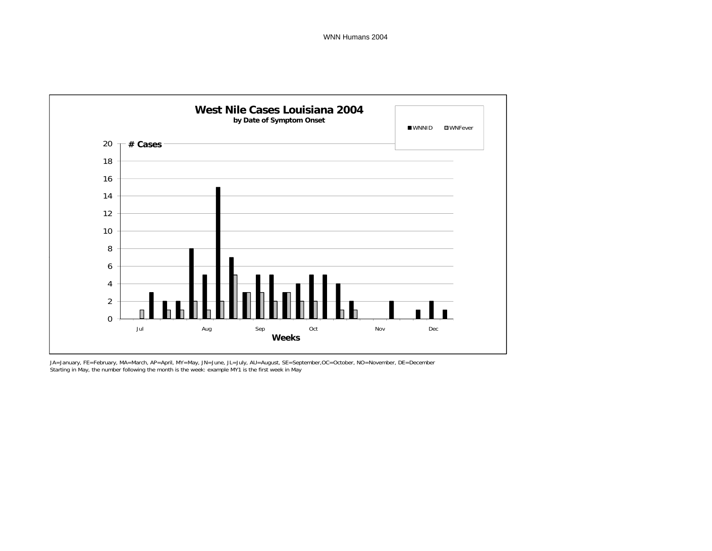

JA=January, FE=February, MA=March, AP=April, MY=May, JN=June, JL=July, AU=August, SE=September,OC=October, NO=November, DE=December Starting in May, the number following the month is the week: example MY1 is the first week in May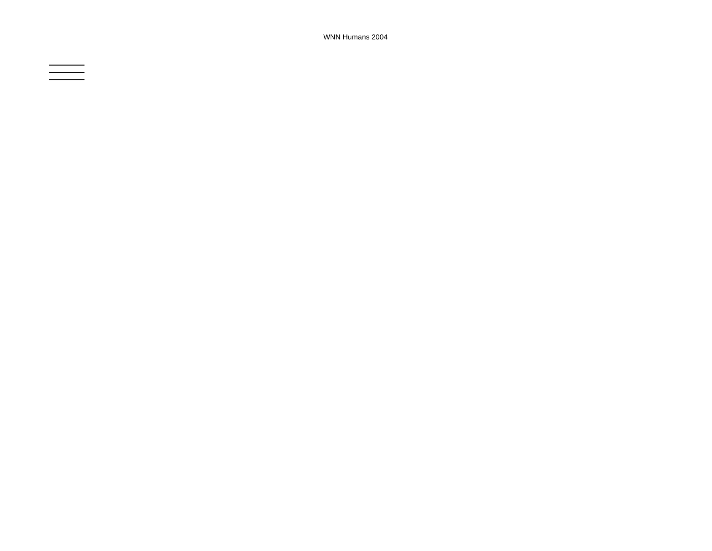$\equiv$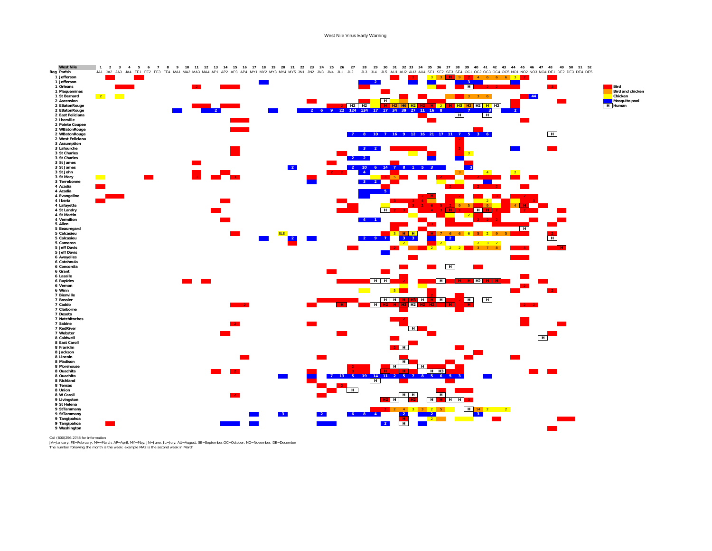#### West Nile Virus Early Warning



Call (800)256-2748 for information

JA=January, FE=February, MA=March, AP=April, MY=May, JN=June, JL=July, AU=August, SE=September,OC=October, NO=November, DE=December The number following the month is the week: example MA2 is the second week in March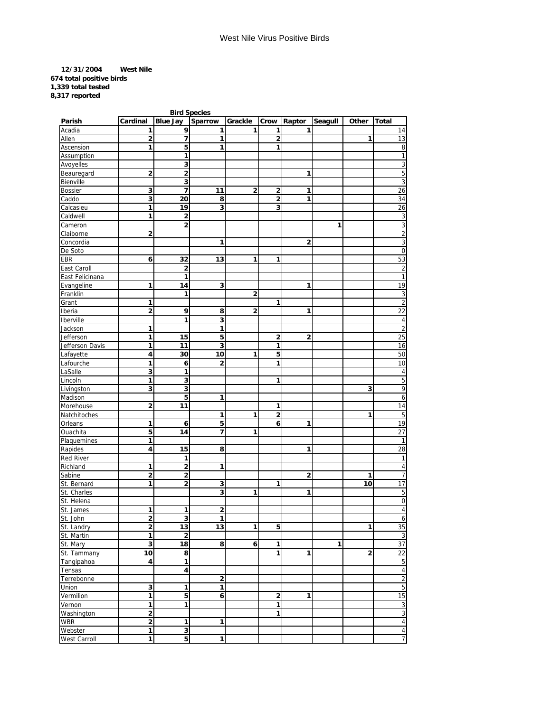### **12/31/2004 West Nile 674 total positive birds 1,339 total tested 8,317 reported**

|                         |                         |                         | <b>Bird Species</b>     |                         |                              |                         |         |             |                 |
|-------------------------|-------------------------|-------------------------|-------------------------|-------------------------|------------------------------|-------------------------|---------|-------------|-----------------|
| Parish                  | Cardinal                | <b>Blue Jay</b>         | Sparrow                 | Grackle                 | Crow                         | Raptor                  | Seagull | Other       | Total           |
| Acadia                  | 1                       | 9                       | 1                       | 1                       | $\mathbf{1}$                 | $\mathbf{1}$            |         |             | 14              |
| Allen                   | 2                       | 7                       | 1                       |                         | $\overline{\mathbf{c}}$      |                         |         | 1           | 13              |
| Ascension               | 1                       | 5                       | 1                       |                         | 1                            |                         |         |             | 8               |
| Assumption              |                         | 1                       |                         |                         |                              |                         |         |             | 1               |
| Avoyelles               |                         | 3                       |                         |                         |                              |                         |         |             | 3               |
| Beauregard              | $\mathbf{2}$            | $\overline{\mathbf{c}}$ |                         |                         |                              | 1                       |         |             | 5               |
| Bienville               |                         | 3                       |                         |                         |                              |                         |         |             | 3               |
| Bossier                 | 3                       | 7                       | 11                      | $\overline{2}$          | $\mathbf 2$                  | 1                       |         |             | 26              |
| Caddo                   | 3                       | 20                      | 8                       |                         | $\overline{\mathbf{c}}$      | 1                       |         |             | 34              |
| Calcasieu               | 1                       | 19                      | 3                       |                         | 3                            |                         |         |             | $\overline{26}$ |
| Caldwell                | 1                       | $\overline{\mathbf{c}}$ |                         |                         |                              |                         |         |             | $\overline{3}$  |
| Cameron                 |                         | $\overline{\mathbf{c}}$ |                         |                         |                              |                         | 1       |             | 3               |
| Claiborne               | 2                       |                         |                         |                         |                              |                         |         |             | $\overline{2}$  |
| Concordia               |                         |                         | 1                       |                         |                              | $\overline{2}$          |         |             | 3               |
| De Soto                 |                         |                         |                         |                         |                              |                         |         |             | $\mathbf 0$     |
| EBR                     | 6                       | 32                      | 13                      | 1                       | 1                            |                         |         |             | 53              |
| East Caroll             |                         | 2                       |                         |                         |                              |                         |         |             | $\overline{2}$  |
| East Felicinana         |                         | 1                       |                         |                         |                              |                         |         |             | $\mathbf{1}$    |
| Evangeline              | 1                       | 14                      | 3                       |                         |                              | 1                       |         |             | 19              |
| Franklin                |                         | 1                       |                         | $\overline{\mathbf{c}}$ |                              |                         |         |             | 3               |
| Grant                   | 1                       |                         |                         |                         | 1                            |                         |         |             | $\overline{2}$  |
| Iberia                  | $\overline{\mathbf{c}}$ | 9                       | 8                       | $\overline{\mathbf{c}}$ |                              | 1                       |         |             | 22              |
| Iberville               |                         | 1                       | 3                       |                         |                              |                         |         |             | $\overline{4}$  |
| Jackson                 | 1                       |                         | 1                       |                         |                              |                         |         |             | $\overline{2}$  |
| Jefferson               | 1                       | 15                      | 5                       |                         | $\mathbf 2$                  | $\overline{2}$          |         |             | $\overline{25}$ |
| Jefferson Davis         | 1                       | 11                      | 3                       |                         | 1                            |                         |         |             | 16              |
| Lafayette               | 4                       | 30                      | 10                      | 1                       | 5                            |                         |         |             | 50              |
| Lafourche               | 1                       | 6                       | $\mathbf 2$             |                         | 1                            |                         |         |             | 10              |
| LaSalle                 | 3                       | 1                       |                         |                         |                              |                         |         |             | $\overline{4}$  |
| Lincoln                 | 1                       | 3                       |                         |                         | 1                            |                         |         |             | 5               |
| Livingston              | 3                       | 3                       |                         |                         |                              |                         |         | 3           | 9               |
| Madison                 | 2                       | 5                       | 1                       |                         |                              |                         |         |             | 6               |
| Morehouse               |                         | 11                      | 1                       | 1                       | 1<br>$\overline{\mathbf{2}}$ |                         |         | 1           | 14              |
| Natchitoches<br>Orleans | 1                       | 6                       | 5                       |                         | 6                            | 1                       |         |             | 5<br>19         |
| Ouachita                | 5                       | 14                      | 7                       | 1                       |                              |                         |         |             | 27              |
| Plaquemines             | 1                       |                         |                         |                         |                              |                         |         |             | $\mathbf{1}$    |
| Rapides                 | 4                       | 15                      | 8                       |                         |                              | 1                       |         |             | 28              |
| <b>Red River</b>        |                         | 1                       |                         |                         |                              |                         |         |             | $\mathbf{1}$    |
| Richland                | 1                       | $\overline{2}$          | 1                       |                         |                              |                         |         |             | 4               |
| Sabine                  | 2                       | 2                       |                         |                         |                              | $\overline{\mathbf{c}}$ |         | 1           | 7               |
| St. Bernard             | 1                       | $\overline{\mathbf{c}}$ | 3                       |                         | 1                            |                         |         | 10          | 17              |
| St. Charles             |                         |                         | 3                       | 1                       |                              | 1                       |         |             | 5               |
| St. Helena              |                         |                         |                         |                         |                              |                         |         |             | 0               |
| St. James               | 1                       | 1                       | $\overline{\mathbf{c}}$ |                         |                              |                         |         |             | 4               |
| St. John                | $\mathbf 2$             | $\overline{\mathbf{3}}$ | $\mathbf 1$             |                         |                              |                         |         |             | $\overline{6}$  |
| St. Landry              | 2                       | $\overline{13}$         | $\overline{13}$         | $\mathbf{1}$            | 5                            |                         |         | 1           | 35              |
| St. Martin              | $\mathbf{1}$            | $\overline{\mathbf{2}}$ |                         |                         |                              |                         |         |             | $\overline{3}$  |
| St. Mary                | 3                       | $\overline{18}$         | 8                       | 6                       | 1                            |                         | 1       |             | 37              |
| St. Tammany             | 10                      | 8                       |                         |                         | 1                            | 1                       |         | $\mathbf 2$ | $\overline{22}$ |
| Tangipahoa              | 4                       | $\mathbf{1}$            |                         |                         |                              |                         |         |             | $\overline{5}$  |
| Tensas                  |                         | $\overline{\mathbf{4}}$ |                         |                         |                              |                         |         |             | $\overline{4}$  |
| Terrebonne              |                         |                         | 2                       |                         |                              |                         |         |             | $\overline{2}$  |
| Union                   | 3                       | 1                       | $\overline{\mathbf{1}}$ |                         |                              |                         |         |             | $\overline{5}$  |
| Vermilion               | 1                       | 5                       | 6                       |                         | $\mathbf 2$                  | 1                       |         |             | 15              |
| Vernon                  | 1                       | $\mathbf{1}$            |                         |                         | $\mathbf{1}$                 |                         |         |             | $\overline{3}$  |
| Washington              | 2                       |                         |                         |                         | 1                            |                         |         |             | $\overline{3}$  |
| WBR                     | 2                       | 1                       | 1                       |                         |                              |                         |         |             | $\sqrt{4}$      |
| Webster                 | 1                       | 3                       |                         |                         |                              |                         |         |             | $\overline{4}$  |
| West Carroll            | 1                       | 5                       | 1                       |                         |                              |                         |         |             | $\overline{7}$  |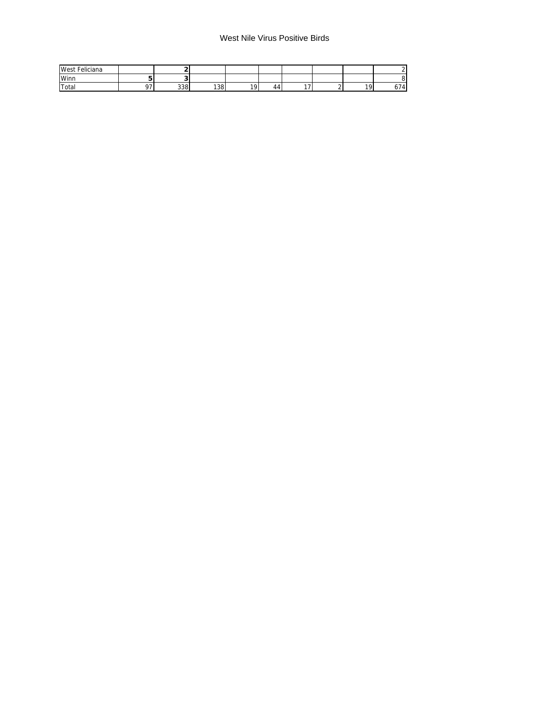## West Nile Virus Positive Birds

| .<br>Mes:<br>-<br>Feliciana |            |            |             |    |    |  |    | `                    |
|-----------------------------|------------|------------|-------------|----|----|--|----|----------------------|
| Winn                        |            |            |             |    |    |  |    | ור<br>וס             |
| <b>T</b> otal               | $\sim$ $-$ | າາດ<br>ააი | າາດ<br>. סכ | 1Q | 44 |  | 10 | -<br>14.<br><b>U</b> |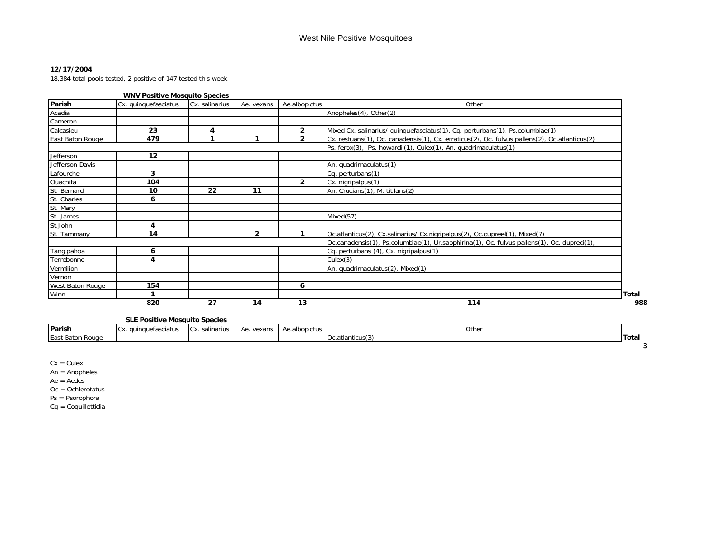#### **12/17/2004**

18,384 total pools tested, 2 positive of 147 tested this week

|                  | <b>WNV Positive Mosquito Species</b> |                |                |                |                                                                                               |       |
|------------------|--------------------------------------|----------------|----------------|----------------|-----------------------------------------------------------------------------------------------|-------|
| Parish           | Cx. quinquefasciatus                 | Cx. salinarius | Ae. vexans     | Ae.albopictus  | Other                                                                                         |       |
| Acadia           |                                      |                |                |                | Anopheles(4), Other(2)                                                                        |       |
| Cameron          |                                      |                |                |                |                                                                                               |       |
| Calcasieu        | 23                                   | 4              |                | $\overline{2}$ | Mixed Cx. salinarius/ quinquefasciatus(1), Cq. perturbans(1), Ps.columbiae(1)                 |       |
| East Baton Rouge | 479                                  | 1              |                | $\overline{2}$ | Cx. restuans(1), Oc. canadensis(1), Cx. erraticus(2), Oc. fulvus pallens(2), Oc.atlanticus(2) |       |
|                  |                                      |                |                |                | Ps. ferox(3), Ps. howardii(1), Culex(1), An. quadrimaculatus(1)                               |       |
| Jefferson        | 12                                   |                |                |                |                                                                                               |       |
| Jefferson Davis  |                                      |                |                |                | An. quadrimaculatus(1)                                                                        |       |
| Lafourche        | 3                                    |                |                |                | Cq. perturbans(1)                                                                             |       |
| Ouachita         | 104                                  |                |                | $\overline{2}$ | Cx. nigripalpus(1)                                                                            |       |
| St. Bernard      | 10                                   | 22             | 11             |                | An. Crucians(1), M. titilans(2)                                                               |       |
| St. Charles      | 6                                    |                |                |                |                                                                                               |       |
| St. Mary         |                                      |                |                |                |                                                                                               |       |
| St. James        |                                      |                |                |                | Mixed(57)                                                                                     |       |
| St.John          | 4                                    |                |                |                |                                                                                               |       |
| St. Tammany      | 14                                   |                | $\overline{2}$ |                | Oc.atlanticus(2), Cx.salinarius/ Cx.nigripalpus(2), Oc.dupreel(1), Mixed(7)                   |       |
|                  |                                      |                |                |                | Oc.canadensis(1), Ps.columbiae(1), Ur.sapphirina(1), Oc. fulvus pallens(1), Oc. dupreci(1),   |       |
| Tangipahoa       | 6                                    |                |                |                | Cq. perturbans (4), Cx. nigripalpus(1)                                                        |       |
| Terrebonne       | 4                                    |                |                |                | Culer(3)                                                                                      |       |
| Vermilion        |                                      |                |                |                | An. quadrimaculatus(2), Mixed(1)                                                              |       |
| Vernon           |                                      |                |                |                |                                                                                               |       |
| West Baton Rouge | 154                                  |                |                | 6              |                                                                                               |       |
| Winn             |                                      |                |                |                |                                                                                               | Total |
|                  | 820                                  | 27             | 14             | 13             | 114                                                                                           | 988   |

#### **SLE Positive Mosquito Species**

| Parish                  | quinquetasciatus<br>1 v.a. | . salinarius<br>$\mathbf{L} \cup \mathbf{A}$ | vexans<br>Ae. | Ae.albopictus | Othe             |              |
|-------------------------|----------------------------|----------------------------------------------|---------------|---------------|------------------|--------------|
| <b>East Baton Rouge</b> |                            |                                              |               |               | Oc.atlanticus(3) | <b>Total</b> |
|                         |                            |                                              |               |               |                  |              |

 $Cx = Culex$ 

An = Anopheles

Ae = Aedes

Oc = Ochlerotatus

Ps = Psorophora

Cq = Coquillettidia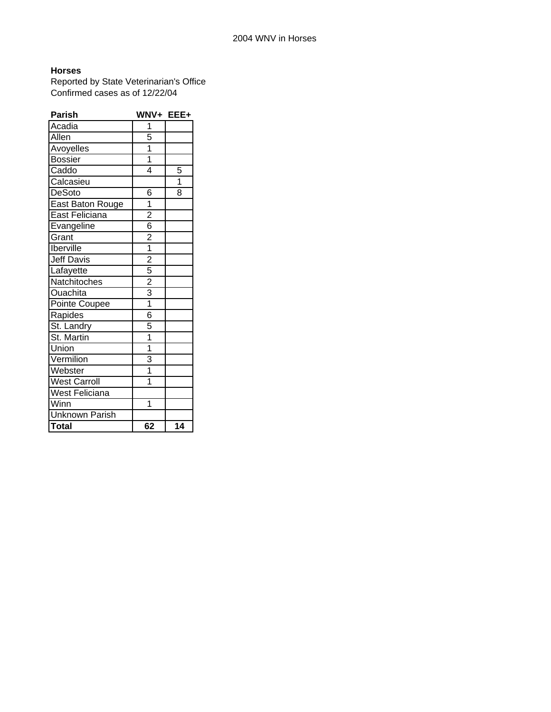# **Horses**

Reported by State Veterinarian's Office Confirmed cases as of 12/22/04

| <b>Parish</b>         | WNV+ EEE+      |               |
|-----------------------|----------------|---------------|
| Acadia                | 1              |               |
| Allen                 | 5              |               |
| Avoyelles             | $\overline{1}$ |               |
| <b>Bossier</b>        | 1              |               |
| Caddo                 | 4              | $\frac{5}{1}$ |
| Calcasieu             |                |               |
| <b>DeSoto</b>         | 6              | 8             |
| East Baton Rouge      | 1              |               |
| East Feliciana        | $\overline{2}$ |               |
| Evangeline            | $\overline{6}$ |               |
| Grant                 | $\frac{2}{1}$  |               |
| <b>Iberville</b>      |                |               |
| <b>Jeff Davis</b>     | $\overline{2}$ |               |
| Lafayette             | $\frac{5}{2}$  |               |
| Natchitoches          |                |               |
| Ouachita              | $\overline{3}$ |               |
| Pointe Coupee         | $\overline{1}$ |               |
| Rapides               | 6              |               |
| St. Landry            | 5              |               |
| St. Martin            | 1              |               |
| Union                 | $\overline{1}$ |               |
| Vermilion             | $\overline{3}$ |               |
| Webster               | $\overline{1}$ |               |
| <b>West Carroll</b>   | $\overline{1}$ |               |
| <b>West Feliciana</b> |                |               |
| Winn                  | 1              |               |
| <b>Unknown Parish</b> |                |               |
| <b>Total</b>          | 62             | 14            |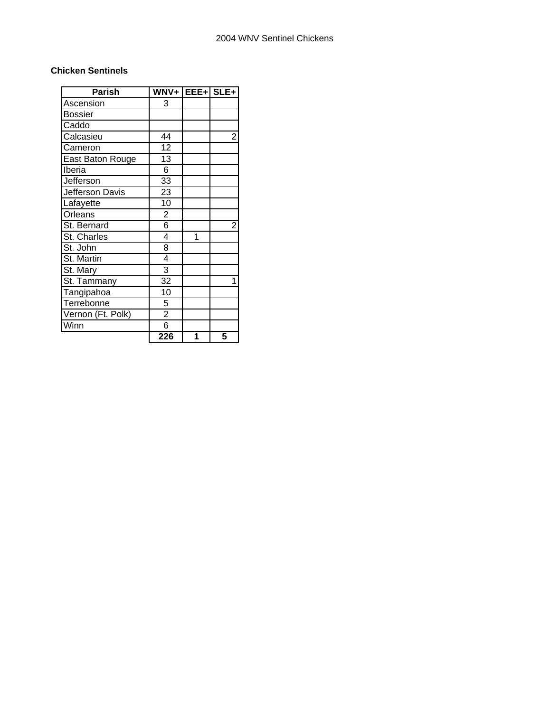## **Chicken Sentinels**

| <b>Parish</b>     | $WNV+ EEE+ SLE+$ |   |                |
|-------------------|------------------|---|----------------|
| Ascension         | 3                |   |                |
| <b>Bossier</b>    |                  |   |                |
| Caddo             |                  |   |                |
| Calcasieu         | 44               |   | 2              |
| Cameron           | $\overline{12}$  |   |                |
| East Baton Rouge  | $\overline{13}$  |   |                |
| Iberia            | 6                |   |                |
| Jefferson         | 33               |   |                |
| Jefferson Davis   | 23               |   |                |
| Lafayette         | 10               |   |                |
| Orleans           | $\overline{2}$   |   |                |
| St. Bernard       | 6                |   | $\overline{2}$ |
| St. Charles       | 4                | 1 |                |
| St. John          | 8                |   |                |
| St. Martin        | 4                |   |                |
| St. Mary          | $\overline{3}$   |   |                |
| St. Tammany       | 32               |   |                |
| Tangipahoa        | 10               |   |                |
| Terrebonne        | $\overline{5}$   |   |                |
| Vernon (Ft. Polk) | $\overline{2}$   |   |                |
| Winn              | 6                |   |                |
|                   | 226              |   | 5              |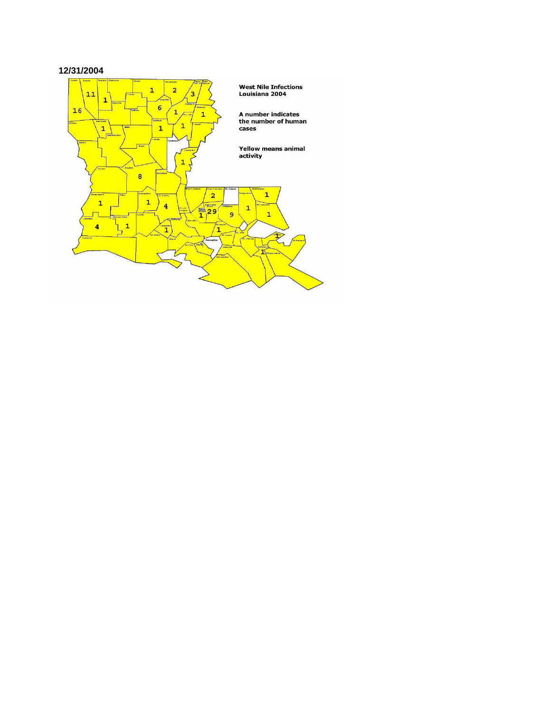## **12/31/2004**

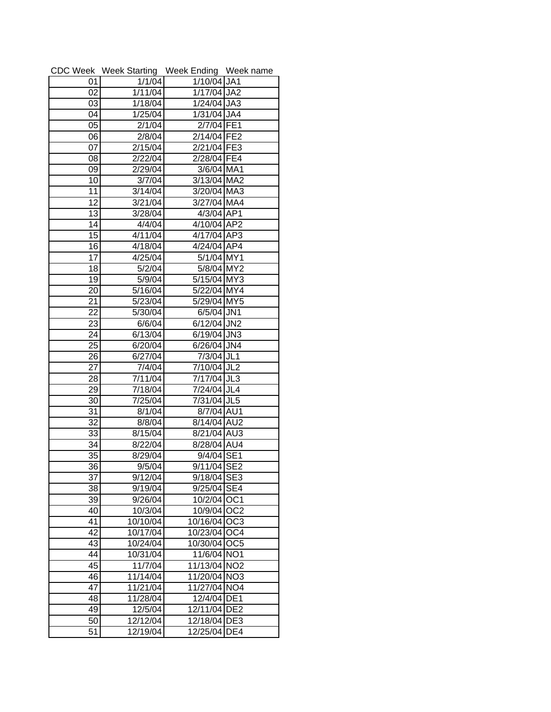|                 | CDC Week Week Starting Week Ending Week name |                           |  |
|-----------------|----------------------------------------------|---------------------------|--|
| 01              | 1/1/04                                       | 1/10/04 JA1               |  |
| 02              | 1/11/04                                      | 1/17/04 JA2               |  |
| 03              | 1/18/04                                      | $\overline{1/2}$ 4/04 JA3 |  |
| 04              | 1/25/04                                      | 1/31/04 JA4               |  |
| 05              | $\frac{2}{1}$ /04                            | 2/7/04 FE1                |  |
| 06              | 2/8/04                                       | 2/14/04 FE2               |  |
| 07              | 2/15/04                                      | 2/21/04 FE3               |  |
| 08              | 2/22/04                                      | 2/28/04 FE4               |  |
| 09              | 2/29/04                                      | 3/6/04 MA1                |  |
| 10              | 3/7/04                                       | 3/13/04 MA2               |  |
| 11              | 3/14/04                                      | 3/20/04 MA3               |  |
| 12              | 3/21/04                                      | 3/27/04 MA4               |  |
| 13              | 3/28/04                                      | 4/3/04 AP1                |  |
| 14              | 4/4/04                                       | 4/10/04 AP2               |  |
| 15              | 4/11/04                                      | 4/17/04 AP3               |  |
| 16              | 4/18/04                                      | 4/24/04 AP4               |  |
| 17              | 4/25/04                                      | 5/1/04 MY1                |  |
| 18              | 5/2/04                                       | 5/8/04 MY2                |  |
| 19              | 5/9/04                                       | 5/15/04 MY3               |  |
| 20              | 5/16/04                                      | 5/22/04 MY4               |  |
| 21              | 5/23/04                                      | 5/29/04 MY5               |  |
| 22              | 5/30/04                                      | 6/5/04 JN1                |  |
| 23              | 6/6/04                                       | 6/12/04 JN2               |  |
| 24              | 6/13/04                                      | 6/19/04 JN3               |  |
| 25              | 6/20/04                                      | 6/26/04 JN4               |  |
| 26              | 6/27/04                                      | 7/3/04 JL1                |  |
| 27              | 7/4/04                                       | 7/10/04 JL2               |  |
| 28              | 7/11/04                                      | 7/17/04 JL3               |  |
| 29              | 7/18/04                                      | 7/24/04 JL4               |  |
| 30              | 7/25/04                                      | 7/31/04 JL5               |  |
| 31              | 8/1/04                                       | 8/7/04 AU1                |  |
| 32              | 8/8/04                                       | 8/14/04 AU2               |  |
| 33              | 8/15/04                                      | 8/21/04 AU3               |  |
| 34              | 8/22/04                                      | 8/28/04 AU4               |  |
| 35              | 8/29/04                                      | 9/4/04 SE1                |  |
| $\overline{36}$ | 9/5/04                                       | 9/11/04 SE2               |  |
| 37              | 9/12/04                                      | 9/18/04 SE3               |  |
| 38              | 9/19/04                                      | 9/25/04 SE4               |  |
| 39              | 9/26/04                                      | 10/2/04 OC1               |  |
| 40              | 10/3/04                                      | 10/9/04 OC2               |  |
| 41              | 10/10/04                                     | 10/16/04 OC3              |  |
| 42              | 10/17/04                                     | 10/23/04 OC4              |  |
| 43              | 10/24/04                                     | 10/30/04 OC5              |  |
| 44              | 10/31/04                                     | 11/6/04 NO1               |  |
| 45              | 11/7/04                                      | 11/13/04 NO2              |  |
| 46              | 11/14/04                                     | 11/20/04 NO3              |  |
| 47              | 11/21/04                                     | 11/27/04 NO4              |  |
| 48              | 11/28/04                                     | 12/4/04 DE1               |  |
| 49              | 12/5/04                                      | 12/11/04 DE2              |  |
| 50              | 12/12/04                                     | 12/18/04 DE3              |  |
| 51              | 12/19/04                                     | 12/25/04 DE4              |  |